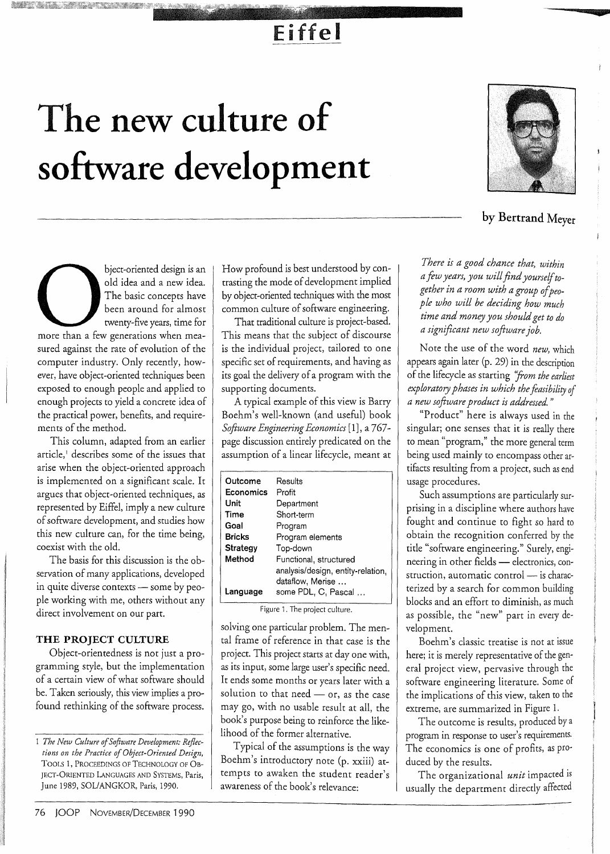### Eiffel

## **The new culture of software development**



u

**by Bertrand Meyer** 

bject-oriented design is an old idea and a new idea. The basic concepts have been around for almost twenty-five years, time for more than a few generations when measured against the rate of evolution of the computer industry. Only recently, however, have object-oriented techniques been exposed to enough people and applied to enough projects to yield a concrete idea of the practical power, benefits, and requirements of the method.

This column, adapted from an earlier article,<sup>1</sup> describes some of the issues that arise when the object-oriented approach is implemented on a significant scale. It argues that object-oriented techniques, as represented by Eiffel, imply a new culture of software development, and studies how this new culture can, for the time being, coexist with the old.

The basis for this discussion is the observation of many applications, developed in quite diverse contexts - some by people working with me, others without any direct involvement on our part.

#### **THE PROJECT CULTURE**

Object-orientedness is not just a programming style, but the implementation of a certain view of what software should be. Taken seriously, this view implies a profound rethinking of the software process. How profound is best understood by contrasting the mode of development implied by object-oriented techniques with the most common culture of software engineering.

That traditional culture is project-based. This means that the subject of discourse is the individual project, tailored to one specific set of requirements, and having as its goal the delivery of a program with the supporting documents.

A typical example of this view is Barry Boehm's well-known (and useful) book *Software Engineering Economics* [1], a 767 page discussion entirely predicated on the assumption of a linear lifecycle, meant at

| Outcome       | Results                           |
|---------------|-----------------------------------|
| Economics     | Profit                            |
| Unit          | Department                        |
| Time          | Short-term                        |
| Goal          | Program                           |
| <b>Bricks</b> | Program elements                  |
| Strategy      | Top-down                          |
| Method        | Functional, structured            |
|               | analysis/design, entity-relation, |
|               | dataflow, Merise                  |
| Language      | some PDL, C, Pascal               |

Figure 1. The project culture.

solving one particular problem. The mental frame of reference in that case is the project. This project starts at day one with, as its input, some large user's specific need. It ends some months or years later with a solution to that need - or, as the case may go, with no usable result at all, the book's purpose being to reinforce the likelihood of the former alternative.

Typical of the assumptions is the way Boehm's introductory note (p. xxiii) attempts to awaken the student reader's awareness of the book's relevance:

*There is a good chance that, within a few years, you will find yourself together in a room with a group ofpeopIe who will be deciding how much time and money you should get to do a significant new software job.* 

Note the use of the word *new,* which appears again later (p. 29) in the description of the lifecycle as starting *"from the earliest exploratory phases in which the feasibility of a new software product is addressed. "* 

"Product" here is always used in the singular; one senses that it is really there to mean "program," the more general term being used mainly to encompass other artifacts resulting from a project, such as end usage procedures.

Such assumptions are particularly surprising in a discipline where authors have fought and continue to fight so hard to obtain the recognition conferred by the title "software engineering." Surely, engineering in other fields - electronics, construction, automatic control  $-$  is characterized by a search for common building blocks and an effort to diminish, as much as possible, the "new" part in every development.

Boehm's classic treatise is not at issue here; it is merely representative of the general project view, pervasive through the software engineering literature. Some of the implications of this view, taken to the extreme, are summarized in Figure 1.

The outcome is results, produced by a program in response to user's requirements. The economics is one of profits, as produced by the results.

The organizational *unit* impacted is usually the department directly affected

<sup>1</sup> *The New Culture of Software Development: Reflections on the Practice of Object-Oriented Design,*  TOOLS 1, PROCEEDINGS OF TECHNOLOGY OF OB-JECT-ORIENTED LANGUAGES AND SYSTEMS, Paris, June 1989, SOLIANGKOR, Paris, 1990.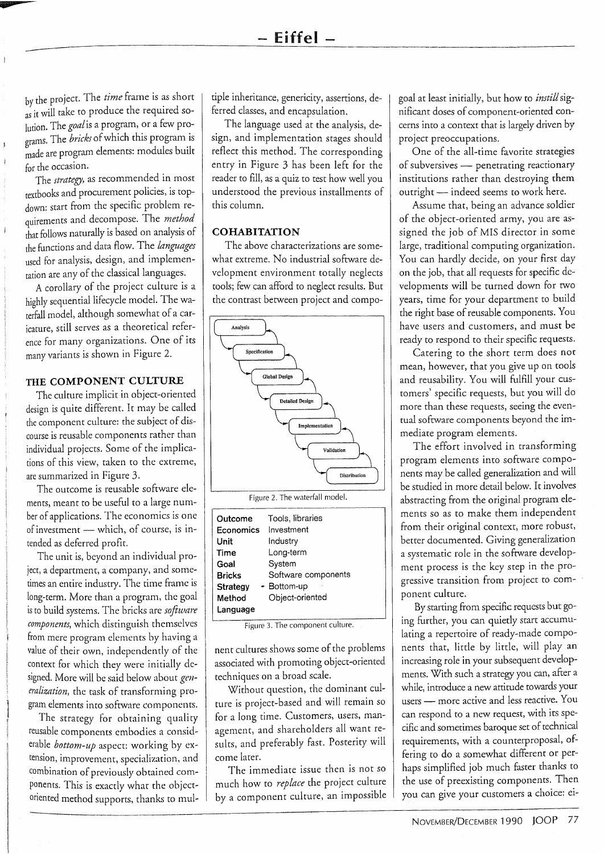by the project. The *time* frame is as short as it will take to produce the required solution. The *goal* is a program, or a few programs. The *bricks* of which this program is made are program elements: modules built for the occasion.

-

The *strategy,* as recommended in most textbooks and procurement policies, is topdown: start from the specific problem requirements and decompose. The *method*  that follows naturally is based on analysis of the functions and data flow. The *languages*  used for analysis, design, and implementation are any of the classical languages.

A corollary of the project culture is a highly sequential lifecycle model. The waterfall model, although somewhat of a caricature, still serves as a theoretical reference for many organizations. One of its many variants is shown in Figure 2.

#### **THE COMPONENT CULTURE**

*The* culture implicit in object-oriented design is quite different. It may be called the component culture: the subject of discourse is reusable components rather than individual projects. Some of the implications of this view, taken to the extreme, are summarized in Figure 3.

The outcome is reusable software elements, meant to be useful to a large number of applications. The economics is one of investment - which, of course, is intended as deferred profit.

The unit is, beyond an individual project, a department, a company, and sometimes an entire industry. The time frame is long-term. More than a program, the goal is to build systems. The bricks are *software components,* which distinguish themselves from mere program elements by having a value of their own, independently of the context for which they were initially designed. More will be said below about *generalization,* the task of transforming program elements into software components.

The strategy for obtaining quality reusable components embodies a considerable *bottom-up* aspect: working by extension, improvement, specialization, and combination of previously obtained components. This is exactly what the objectoriented method supports, thanks to multiple inheritance, genericity, assertions, deferred classes, and encapsulation.

The language used at the analysis, design, and implementation stages should reflect this method. The corresponding entry in Figure 3 has been left for the reader to fill, as a quiz to test how well you understood the previous installments of this column.

#### **COHABITATION**

The above characterizations are somewhat extreme. No industrial software development environment totally neglects tools; few can afford to neglect results. But the contrast between project and compo-



Figure 2. The waterfall model.

Figure 3. The component culture.

nent cultures shows some of the problems associated with promoting object-oriented techniques on a broad scale.

Without question, the dominant culture is project-based and will remain so for a long time. Customers, users, management, and shareholders all want results, and preferably fast. Posterity will come later.

The immediate issue then is not so much how to *replace* the project culture by a component culture, an impossible goal at least initially, but how to *instill* significant doses of component-oriented concerns into a context that is largely driven by project preoccupations.

One of the all-time favorite strategies of subversives - penetrating reactionary institutions rather than destroying them outright - indeed seems to work here.

Assume that, being an advance soldier of the object-oriented army, you are assigned the job of MIS director in some large, traditional computing organization. You can hardly decide, on your first day on the job, that all requests for specific developments will be turned down for two years, time for your department to build the right base of reusable components. You have users and customers, and must be ready to respond to their specific requests.

Catering to the short term does not mean, however, that you give up on tools and reusability. You will fulfill your customers' specific requests, but you will do more than these requests, seeing the eventual software components beyond the immediate program elements.

The effort involved in transforming program elements into software components may be called generalization and will be studied in more detail below. It involves abstracting from the original program elements so as to make them independent from their original context, more robust, better documented. Giving generalization a systematic role in the software development process is the key step in the progressive transition from project to component culture.

By starting from specific requests but going further, you can quietly start accumulating a repertoire of ready-made components that, little by little, will play an increasing role in your subsequent developments. With such a strategy you can, after a while, introduce a new attitude towards your users - more active and less reactive. You can respond to a new request, with its specific and sometimes baroque set of technical requirements, with a counterproposal, offering to do a somewhat different or perhaps simplified job much faster thanks to the use of preexisting components. Then you can give your customers a choice: ei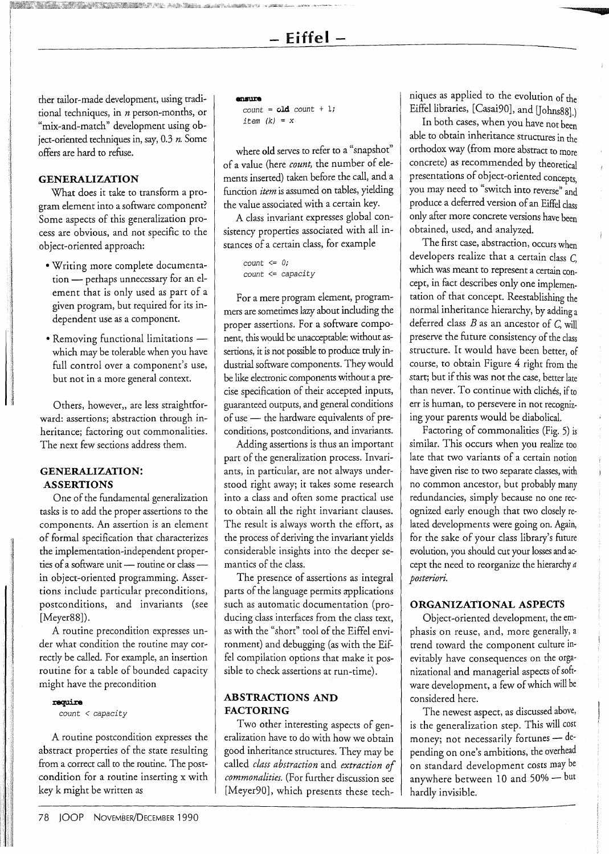**- Eiffel -**

ther tailor-made development, using traditional techniques, in n person-months, or "mix-and-match" development using object-oriented techniques in, say, 0.3 *n.* Some offers are hard to refuse.

#### **GENERALIZATION**

What does it take to transform a program element into a software component? Some aspects of this generalization process are obvious, and not specific to the object-oriented approach:

- Writing more complete documentation - perhaps unnecessary for an element that is only used as part of a given program, but required for its independent use as a component.
- Removing functional limitations which may be tolerable when you have full control over a component's use, but not in a more general context.

Others, however,, are less straightforward: assertions; abstraction through inheritance; factoring out commonalities. The next few sections address them.

#### **GENERALIZATION: ASSERTIONS**

One of the fundamental generalization tasks is to add the proper assertions to the components. An assertion is an element of formal specification that characterizes the implementation-independent properties of a software unit - routine or class in object-oriented programming. Assertions include particular preconditions, postconditions, and invariants (see [Meyer88]).

A routine precondition expresses under what condition the routine may correctly be called. For example, an insertion routine for a table of bounded capacity might have the precondition

#### xequire

*count* < *capacity* 

A routine postcondition expresses the abstract properties of the state resulting from a correct call to the routine. The postcondition for a routine inserting x with key k might be written as

#### ensure

 $count = old count + 1;$ *item* (k) = x

where old serves to refer to a "snapshot" of a value (here *count,* the number of elements inserted) taken before the call, and a function *item* is assumed on tables, yielding the value associated with a certain key.

A class invariant expresses global consistency properties associated with all instances of a certain class, for example

> *count* <= 0; *count* <= *capacity*

For a mere program element, programmers are sometimes lazy about including the proper assertions. For a software component, this would be unacceptable: without assertions, it is not possible to produce truly industrial software components. They would be like electronic components without a precise specification of their accepted inputs, guaranteed outputs, and general conditions of use - the hardware equivalents of preconditions, postconditions, and invariants.

Adding assertions is thus an important part of the generalization process. Invariants, in particular, are not always understood right away; it takes some research into a class and often some practical use to obtain all the right invariant clauses. The result is always worth the effort, as the process of deriving the invariant yields considerable insights into the deeper semantics of the class.

The presence of assertions as integral parts of the language permits applications such as automatic documentation (producing class interfaces from the class text, as with the "short" tool of the Eiffel environment) and debugging (as with the Eiffel compilation options that make it possible to check assertions at run-time).

#### **ABSTRACTIONS AND FACTORING**

Two other interesting aspects of generalization have to do with how we obtain good inheritance structures. They may be called *class abstraction* and *extraction of commonalities.* (For further discussion see [Meyer90], which presents these techniques as applied to the evolution of the Eiffel libraries, [Casai90], and [Johns88].)

•

In both cases, when you have not been able to obtain inheritance structures in the orthodox way (from more abstract to more concrete) as recommended by theoretical presentations of object-oriented concepts, you may need to "switch into reverse" and produce a deferred version of an Eiffel class only after more concrete versions have been obtained, used, and analyzed.

The first case, abstraction, occurs when developers realize that a certain class C, which was meant to represent a certain concept, in fact describes only one implementation of that concept. Reestablishing the normal inheritance hierarchy, by adding a deferred class *B* as an ancestor of C, will preserve the future consistency of the class structure. It would have been better, of course, to obtain Figure 4 right from the start; but if this was not the case, better late than never. To continue with cliches, if to err is human, to persevere in not recognizing your parents would be diabolical.

Factoring of commonalities (Fig. 5) is similar. This occurs when you realize too late that two variants of a certain notion have given rise to two separate classes, with no common ancestor, but probably many redundancies, simply because no one recognized early enough that two closely related developments were going on. Again, for the sake of your class library's future evolution, you should cut your losses and accept the need to reorganize the hierarchy *a posteriori.* 

#### **ORGANIZATIONAL ASPECTS**

Object-oriented development, the emphasis on reuse, and, more generally, a trend toward the component culture inevitably have consequences on the organizational and managerial aspects of software development, a few of which will be considered here.

The newest aspect, as discussed above, is the generalization step. This will cost money; not necessarily fortunes  $-$  depending on one's ambitions, the overhead on standard development costs may be anywhere between 10 and  $50\% -$  but hardly invisible.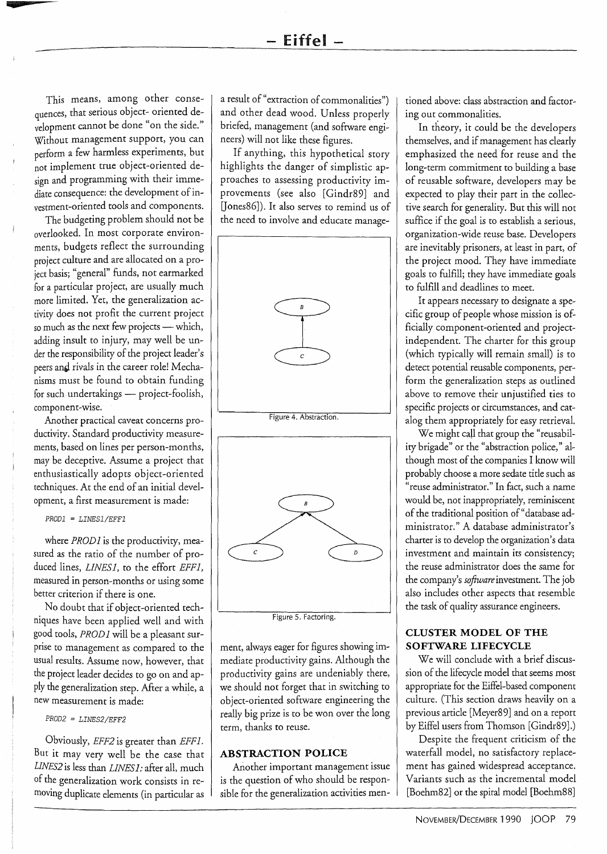This means, among other consequences, that serious object- oriented development cannot be done "on the side." Without management support, you can perform a few harmless experiments, but not implement true object-oriented design and programming with their immediate consequence: the development of investment-oriented tools and components.

•

The budgeting problem should not be overlooked. In most corporate environments, budgets reflect the surrounding project culture and are allocated on a project basis; "general" funds, not earmarked for a particular project, are usually much more limited. Yet, the generalization activity does not profit the current project so much as the next few projects - which, adding insult to injury, may well be under the responsibility of the project leader's peers and rivals in the career role! Mechanisms must be found to obtain funding for such undertakings - project-foolish, component-wise.

Another practical caveat concerns productivity. Standard productivity measurements, based on lines per person-months, may be deceptive. Assume a project that enthusiastically adopts object-oriented techniques. At the end of an initial development, a first measurement is made:

*PROD1* = *LINES1/EFF1* 

where *PROD1* is the productivity, measured as the ratio of the number of produced lines, *LINESl,* to the effort *EFFl,*  measured in person-months or using some better criterion if there is one.

No doubt that if object-oriented techniques have been applied well and with good tools, *PROD 1* will be a pleasant surprise to management as compared to the usual results. Assume now, however, that the project leader decides to go on and apply the generalization step. After a while, a new measurement is made: .

*PROD2* = *LINES2/EFF2* 

Obviously, *EFF2* is greater than *EFFl.*  But it may very well be the case that *LINES2* is less than *LINESl:* after all, much of the generalization work consists in removing duplicate elements (in particular as a result of "extraction of commonalities") and other dead wood. Unless properly briefed, management (and software engineers) will not like these figures.

If anything, this hypothetical story highlights the danger of simplistic approaches to assessing productivity improvements (see also [Gindr89] and [Jones86]). It also serves to remind us of the need to involve and educate manage-





Figure 5. Factoring.

ment, always eager for figures showing immediate productivity gains. Although the productivity gains are undeniably there, we should not forget that in switching to object-oriented software engineering the really big prize is to be won over the long term, thanks to reuse.

#### **ABSTRACTION POLICE**

Another important management issue is the question of who should be responsible for the generalization activities men-

tioned above: class abstraction and factoring out commonalities.

In theory, it could be the developers themselves, and if management has clearly emphasized the need for reuse and the long-term commitment to building a base of reusable software, developers may be expected to play their part in the collective search for generality. But this will not suffice if the goal is to establish a serious, organization-wide reuse base. Developers are inevitably prisoners, at least in part, of the project mood. They have immediate goals to fulfill; they have immediate goals to fulfill and deadlines to meet.

It appears necessary to designate a specific group of people whose mission is officially component-oriented and projectindependent. The charter for this group (which typically will remain small) is to detect potential reusable components, perform the generalization steps as outlined above to remove their unjustified ties to specific projects or circumstances, and catalog them appropriately for easy retrieval.

We might call that group the "reusability brigade" or the "abstraction police," although most of the companies I know will probably choose a more sedate title such as "reuse administrator." In fact, such a name would be, not inappropriately, reminiscent of the traditional position of "database administrator." A database administrator's charter is to develop the organization's data investment and maintain its consistency; the reuse administrator does the same for the company's *sofiwareinvestment.* The job also includes other aspects that resemble the task of quality assurance engineers.

#### **CLUSTER MODEL OF THE SOFTWARE LIFECYCLE**

We will conclude with a brief discussion of the lifecycle model that seems most appropriate for the Eiffel-based component culture. (This section draws heavily on a previous article [Meyer89] and on a report by Eiffel users from Thomson [Gindr89].)

Despite the frequent criticism of the waterfall model, no satisfactory replacement has gained widespread acceptance. Variants such as the incremental model [Boehm82] or the spiral model [Boehm88]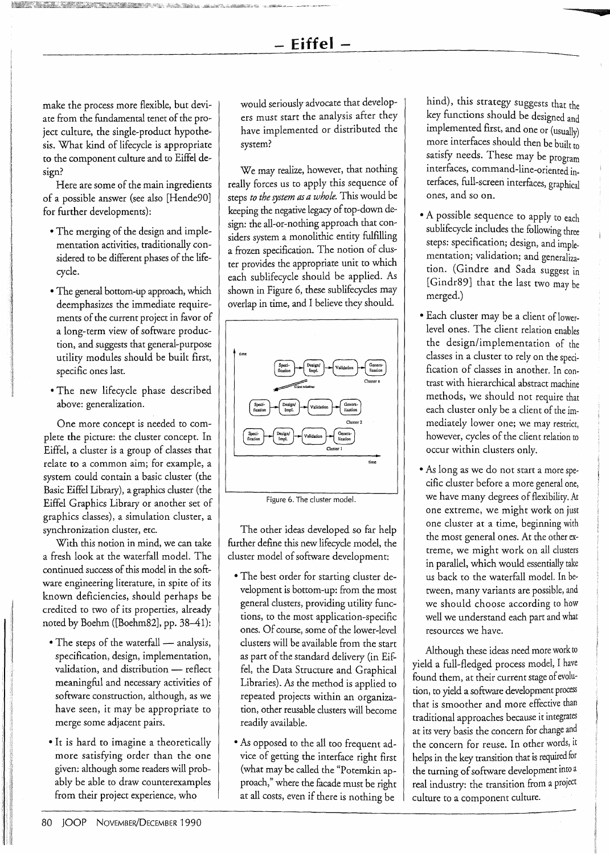#### **- Eiffel -**

make the process more flexible, but deviate from the fundamental tenet of the project culture, the single-product hypothesis. What kind of lifecycle is appropriate to the component culture and to Eiffel design?

Here are some of the main ingredients of a possible answer (see also [Hende90] for further developments):

- The merging of the design and implementation activities, traditionally considered to be different phases of the lifecycle.
- The general bottom-up approach, which deemphasizes the immediate requirements of the current project in favor of a long-term view of software production, and suggests that general-purpose utility modules should be built first, specific ones last.
- The new lifecycle phase described above: generalization.

One more concept is needed to complete the picture: the cluster concept. In Eiffel, a cluster is a group of classes that relate to a common aim; for example, a system could contain a basic cluster (the Basic Eiffel Library), a graphics cluster (the Eiffel Graphics Library or another set of graphics classes), a simulation cluster, a synchronization cluster, etc.

With this notion in mind, we can take a fresh look at the waterfall model. The continued success of this model in the software engineering literature, in spite of its known deficiencies, should perhaps be credited to two of its properties, already noted by Boehm ([Boehm82], pp. 38-41):

- The steps of the waterfall analysis, specification, design, implementation, validation, and distribution - reflect meaningful and necessary activities of software construction, although, as we have seen, it may be appropriate to merge some adjacent pairs.
- It is hard to imagine a theoretically more satisfying order than the one given: although some readers will probably be able to draw counterexamples from their project experience, who

would seriously advocate that developers must start the analysis after they have implemented or distributed the system?

We may realize, however, that nothing really forces us to apply this sequence of steps *to the system as a whole.* This would be keeping the negative legacy of top-down design: the all-or-nothing approach that considers system a monolithic entity fulfilling a frozen specification. The notion of cluster provides the appropriate unit to which each sublifecycle should be applied. As shown in Figure 6, these sublifecycles may overlap in time, and I believe they should.





The other ideas developed so far help further define this new lifecycle model, the cluster model of software development:

- The best order for starting cluster development is bottom-up: from the most general clusters, providing utility functions, to the most application-specific ones. Of course, some of the lower-level clusters will be available from the start as part of the standard delivery (in Eiffel, the Data Structure and Graphical Libraries). As the method is applied to repeated projects within an organization, other reusable clusters will become readily available.
- As opposed to the all too frequent advice of getting the interface right first (what may be called the "Potemkin approach," where the facade must be right at all costs, even if there is nothing be

hind), this strategy suggests that the key functions should be designed and implemented first, and one or (usually) more interfaces should then be built to satisfy needs. These may be program interfaces, command-line-oriented interfaces, full-screen interfaces, graphical ones, and so on.

•

- A possible sequence to apply to each sublifecycle includes the following three steps: specification; design, and implementation; validation; and generalization. (Gindre and Sada suggest in [Gindr89] that the last two may be merged.)
- Each cluster may be a client of lowerlevel ones. The client relation enables the design/implementation of the classes in a cluster to rely on the specification of classes in another. In contrast with hierarchical abstract machine methods, we should not require that each cluster only be a client of the immediately lower one; we may restrict, however, cycles of the client relation to occur within clusters only.
- As long as we do not start a more specific cluster before a more general one, we have many degrees of flexibility. At one extreme, we might work on just one cluster at a time, beginning with the most general ones. At the other extreme, we might work on all clusters in parallel, which would essentially take us back to the waterfall model. In between, many variants are possible, and we should choose according to how well we understand each part and what resources we have.

Although these ideas need more work to yield a full-fledged process model, I have found them, at their current stage of evolution, to yield a software development process that is smoother and more effective than traditional approaches because it integrates at its very basis the concern for change and the concern for reuse. In other words, it helps in the key transition that is required for the turning of software development into a real industry: the transition from a project culture to a component culture.